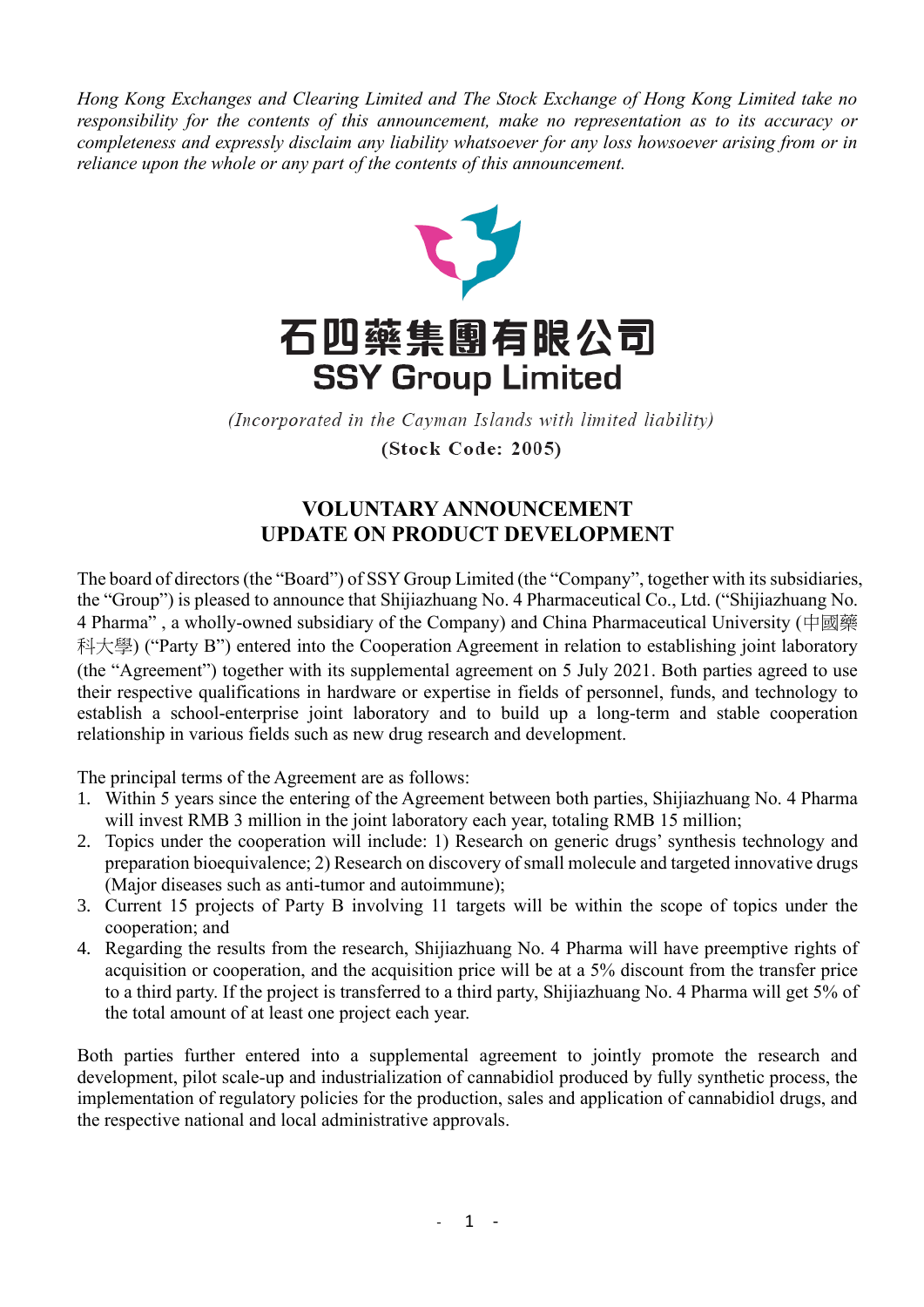*Hong Kong Exchanges and Clearing Limited and The Stock Exchange of Hong Kong Limited take no responsibility for the contents of this announcement, make no representation as to its accuracy or completeness and expressly disclaim any liability whatsoever for any loss howsoever arising from or in reliance upon the whole or any part of the contents of this announcement.*



(Incorporated in the Cayman Islands with limited liability) (Stock Code: 2005)

## **VOLUNTARY ANNOUNCEMENT UPDATE ON PRODUCT DEVELOPMENT**

The board of directors (the "Board") of SSY Group Limited (the "Company", together with its subsidiaries, the "Group") is pleased to announce that Shijiazhuang No. 4 Pharmaceutical Co., Ltd. ("Shijiazhuang No. 4 Pharma" , a wholly-owned subsidiary of the Company) and China Pharmaceutical University (中國藥 科大學) ("Party B") entered into the Cooperation Agreement in relation to establishing joint laboratory (the "Agreement") together with its supplemental agreement on 5 July 2021. Both parties agreed to use their respective qualifications in hardware or expertise in fields of personnel, funds, and technology to establish a school-enterprise joint laboratory and to build up a long-term and stable cooperation relationship in various fields such as new drug research and development.

The principal terms of the Agreement are as follows:

- 1. Within 5 years since the entering of the Agreement between both parties, Shijiazhuang No. 4 Pharma will invest RMB 3 million in the joint laboratory each year, totaling RMB 15 million;
- 2. Topics under the cooperation will include: 1) Research on generic drugs' synthesis technology and preparation bioequivalence; 2) Research on discovery of small molecule and targeted innovative drugs (Major diseases such as anti-tumor and autoimmune);
- 3. Current 15 projects of Party B involving 11 targets will be within the scope of topics under the cooperation; and
- 4. Regarding the results from the research, Shijiazhuang No. 4 Pharma will have preemptive rights of acquisition or cooperation, and the acquisition price will be at a 5% discount from the transfer price to a third party. If the project is transferred to a third party, Shijiazhuang No. 4 Pharma will get 5% of the total amount of at least one project each year.

Both parties further entered into a supplemental agreement to jointly promote the research and development, pilot scale-up and industrialization of cannabidiol produced by fully synthetic process, the implementation of regulatory policies for the production, sales and application of cannabidiol drugs, and the respective national and local administrative approvals.